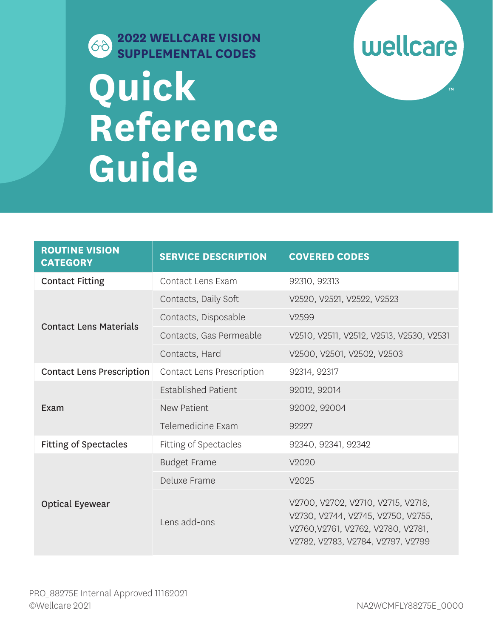

## **DENTAL CODES SUPPLEMENTAL CODES Quick Reference Guide**



| <b>ROUTINE VISION</b><br><b>CATEGORY</b> | <b>SERVICE DESCRIPTION</b>       | <b>COVERED CODES</b>                                                                                                                                |
|------------------------------------------|----------------------------------|-----------------------------------------------------------------------------------------------------------------------------------------------------|
| <b>Contact Fitting</b>                   | Contact Lens Exam                | 92310, 92313                                                                                                                                        |
| <b>Contact Lens Materials</b>            | Contacts, Daily Soft             | V2520, V2521, V2522, V2523                                                                                                                          |
|                                          | Contacts, Disposable             | V <sub>2599</sub>                                                                                                                                   |
|                                          | Contacts, Gas Permeable          | V2510, V2511, V2512, V2513, V2530, V2531                                                                                                            |
|                                          | Contacts, Hard                   | V2500, V2501, V2502, V2503                                                                                                                          |
| <b>Contact Lens Prescription</b>         | <b>Contact Lens Prescription</b> | 92314, 92317                                                                                                                                        |
| Exam                                     | <b>Established Patient</b>       | 92012, 92014                                                                                                                                        |
|                                          | <b>New Patient</b>               | 92002, 92004                                                                                                                                        |
|                                          | Telemedicine Exam                | 92227                                                                                                                                               |
| <b>Fitting of Spectacles</b>             | Fitting of Spectacles            | 92340, 92341, 92342                                                                                                                                 |
| <b>Optical Eyewear</b>                   | <b>Budget Frame</b>              | V2020                                                                                                                                               |
|                                          | Deluxe Frame                     | V2025                                                                                                                                               |
|                                          | Lens add-ons                     | V2700, V2702, V2710, V2715, V2718,<br>V2730, V2744, V2745, V2750, V2755,<br>V2760, V2761, V2762, V2780, V2781,<br>V2782, V2783, V2784, V2797, V2799 |